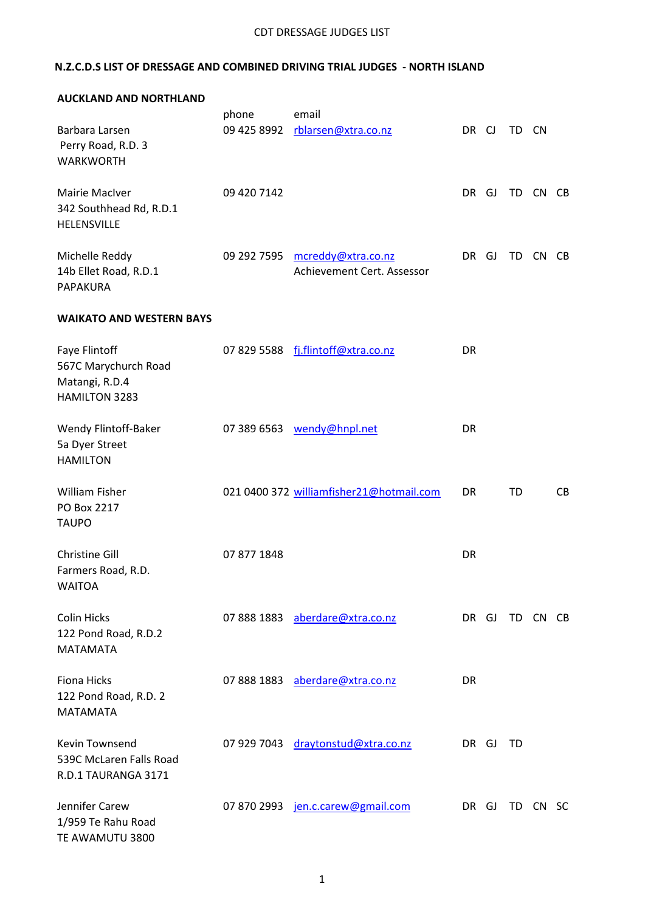### CDT DRESSAGE JUDGES LIST

# **N.Z.C.D.S LIST OF DRESSAGE AND COMBINED DRIVING TRIAL JUDGES - NORTH ISLAND**

| <b>AUCKLAND AND NORTHLAND</b>                                                   |             |                                                  |           |    |       |          |     |
|---------------------------------------------------------------------------------|-------------|--------------------------------------------------|-----------|----|-------|----------|-----|
|                                                                                 | phone       | email                                            |           |    |       |          |     |
| Barbara Larsen<br>Perry Road, R.D. 3<br><b>WARKWORTH</b>                        | 09 425 8992 | rblarsen@xtra.co.nz                              | DR CJ     |    | TD CN |          |     |
| Mairie MacIver<br>342 Southhead Rd, R.D.1<br>HELENSVILLE                        | 09 420 7142 |                                                  | DR        | GJ |       | TD CN CB |     |
| Michelle Reddy<br>14b Ellet Road, R.D.1<br>PAPAKURA                             | 09 292 7595 | mcreddy@xtra.co.nz<br>Achievement Cert. Assessor | DR .      | GJ | TD    | CN       | CB. |
| <b>WAIKATO AND WESTERN BAYS</b>                                                 |             |                                                  |           |    |       |          |     |
| Faye Flintoff<br>567C Marychurch Road<br>Matangi, R.D.4<br><b>HAMILTON 3283</b> |             | 07 829 5588 fj.flintoff@xtra.co.nz               | <b>DR</b> |    |       |          |     |
| Wendy Flintoff-Baker<br>5a Dyer Street<br><b>HAMILTON</b>                       |             | 07 389 6563 wendy@hnpl.net                       | <b>DR</b> |    |       |          |     |
| <b>William Fisher</b><br>PO Box 2217<br><b>TAUPO</b>                            |             | 021 0400 372 williamfisher21@hotmail.com         | <b>DR</b> |    | TD    |          | CB  |
| <b>Christine Gill</b><br>Farmers Road, R.D.<br><b>WAITOA</b>                    | 07 877 1848 |                                                  | DR        |    |       |          |     |
| <b>Colin Hicks</b><br>122 Pond Road, R.D.2<br><b>MATAMATA</b>                   |             | 07 888 1883 aberdare@xtra.co.nz                  | DR GJ     |    |       | TD CN CB |     |
| Fiona Hicks<br>122 Pond Road, R.D. 2<br><b>MATAMATA</b>                         |             | 07 888 1883 aberdare@xtra.co.nz                  | <b>DR</b> |    |       |          |     |
| <b>Kevin Townsend</b><br>539C McLaren Falls Road<br>R.D.1 TAURANGA 3171         |             | 07 929 7043 draytonstud@xtra.co.nz               | DR GJ     |    | TD    |          |     |
| Jennifer Carew<br>1/959 Te Rahu Road<br>TE AWAMUTU 3800                         | 07 870 2993 | jen.c.carew@gmail.com                            | DR -      | GJ | TD CN |          | -SC |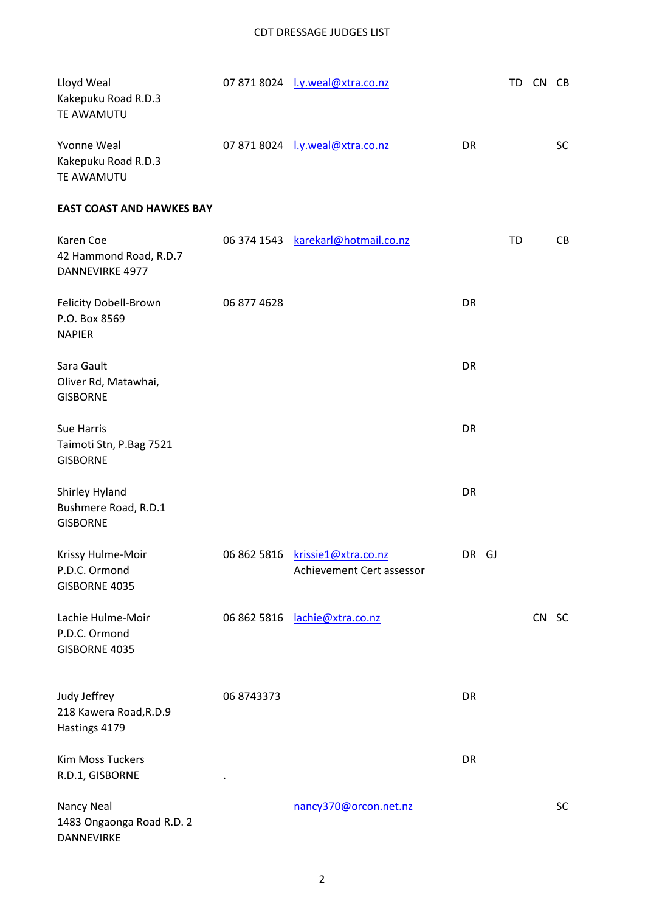| Lloyd Weal<br>Kakepuku Road R.D.3<br>TE AWAMUTU               |             | 07 871 8024  v.weal@xtra.co.nz                               |       | TD | CN CB |           |
|---------------------------------------------------------------|-------------|--------------------------------------------------------------|-------|----|-------|-----------|
| Yvonne Weal<br>Kakepuku Road R.D.3<br>TE AWAMUTU              |             | 07 871 8024  v.weal@xtra.co.nz                               | DR    |    |       | <b>SC</b> |
| <b>EAST COAST AND HAWKES BAY</b>                              |             |                                                              |       |    |       |           |
| Karen Coe<br>42 Hammond Road, R.D.7<br><b>DANNEVIRKE 4977</b> |             | 06 374 1543 karekarl@hotmail.co.nz                           |       | TD |       | CB        |
| Felicity Dobell-Brown<br>P.O. Box 8569<br><b>NAPIER</b>       | 06 877 4628 |                                                              | DR    |    |       |           |
| Sara Gault<br>Oliver Rd, Matawhai,<br><b>GISBORNE</b>         |             |                                                              | DR    |    |       |           |
| Sue Harris<br>Taimoti Stn, P.Bag 7521<br><b>GISBORNE</b>      |             |                                                              | DR    |    |       |           |
| Shirley Hyland<br>Bushmere Road, R.D.1<br><b>GISBORNE</b>     |             |                                                              | DR    |    |       |           |
| Krissy Hulme-Moir<br>P.D.C. Ormond<br>GISBORNE 4035           |             | 06 862 5816 krissie1@xtra.co.nz<br>Achievement Cert assessor | DR GJ |    |       |           |
| Lachie Hulme-Moir<br>P.D.C. Ormond<br>GISBORNE 4035           |             | 06 862 5816 lachie@xtra.co.nz                                |       |    | CN SC |           |
| Judy Jeffrey<br>218 Kawera Road, R.D.9<br>Hastings 4179       | 06 8743373  |                                                              | DR    |    |       |           |
| Kim Moss Tuckers<br>R.D.1, GISBORNE                           |             |                                                              | DR    |    |       |           |
| Nancy Neal<br>1483 Ongaonga Road R.D. 2<br>DANNEVIRKE         |             | nancy370@orcon.net.nz                                        |       |    |       | SC        |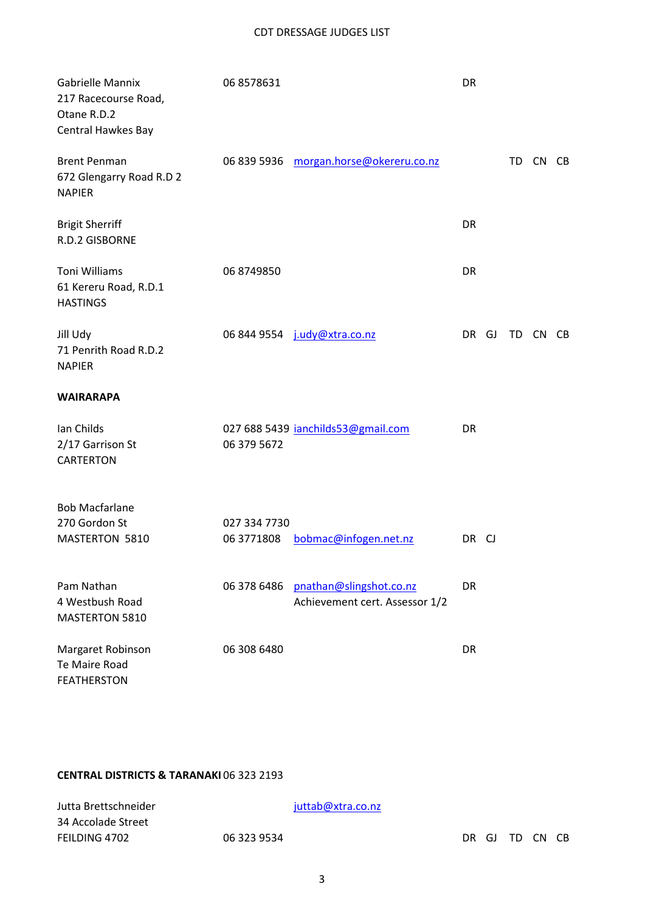### CDT DRESSAGE JUDGES LIST

| Gabrielle Mannix<br>217 Racecourse Road,<br>Otane R.D.2<br>Central Hawkes Bay | 06 8578631                 |                                                           | DR    |    |          |  |
|-------------------------------------------------------------------------------|----------------------------|-----------------------------------------------------------|-------|----|----------|--|
| <b>Brent Penman</b><br>672 Glengarry Road R.D 2<br><b>NAPIER</b>              |                            | 06 839 5936 morgan.horse@okereru.co.nz                    |       |    | TD CN CB |  |
| <b>Brigit Sherriff</b><br>R.D.2 GISBORNE                                      |                            |                                                           | DR    |    |          |  |
| <b>Toni Williams</b><br>61 Kereru Road, R.D.1<br><b>HASTINGS</b>              | 06 8749850                 |                                                           | DR    |    |          |  |
| Jill Udy<br>71 Penrith Road R.D.2<br><b>NAPIER</b>                            |                            | 06 844 9554 j.udy@xtra.co.nz                              | DR GJ | TD | CN CB    |  |
| <b>WAIRARAPA</b>                                                              |                            |                                                           |       |    |          |  |
| Ian Childs<br>2/17 Garrison St<br>CARTERTON                                   | 06 379 5672                | 027 688 5439 janchilds53@gmail.com                        | DR    |    |          |  |
| <b>Bob Macfarlane</b><br>270 Gordon St<br>MASTERTON 5810                      | 027 334 7730<br>06 3771808 | bobmac@infogen.net.nz                                     | DR CJ |    |          |  |
| Pam Nathan<br>4 Westbush Road<br>MASTERTON 5810                               | 06 378 6486                | pnathan@slingshot.co.nz<br>Achievement cert. Assessor 1/2 | DR    |    |          |  |
| Margaret Robinson<br>Te Maire Road<br><b>FEATHERSTON</b>                      | 06 308 6480                |                                                           | DR    |    |          |  |

## **CENTRAL DISTRICTS & TARANAKI** 06 323 2193

| Jutta Brettschneider | juttab@xtra.co.nz |       |  |          |  |
|----------------------|-------------------|-------|--|----------|--|
| 34 Accolade Street   |                   |       |  |          |  |
| FEILDING 4702        | 06 323 9534       | DR GJ |  | TD CN CB |  |